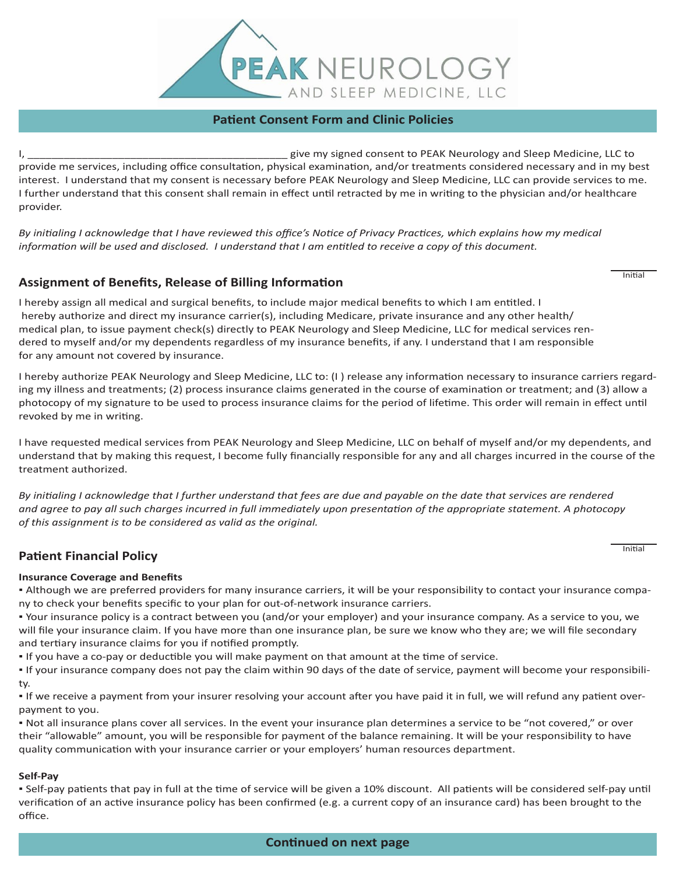

# **Patient Consent Form and Clinic Policies**

I, the consent of the state of the state of the state of the state of the state of the state of the state of the state of the state of the state of the state of the state of the state of the state of the state of the state provide me services, including office consultation, physical examination, and/or treatments considered necessary and in my best interest. I understand that my consent is necessary before PEAK Neurology and Sleep Medicine, LLC can provide services to me. I further understand that this consent shall remain in effect until retracted by me in writing to the physician and/or healthcare provider.

*By initialing I acknowledge that I have reviewed this office's Notice of Privacy Practices, which explains how my medical information will be used and disclosed. I understand that I am entitled to receive a copy of this document.* 

## **Assignment of Benefits, Release of Billing Information**

Initial

Initial

I hereby assign all medical and surgical benefits, to include major medical benefits to which I am entitled. I hereby authorize and direct my insurance carrier(s), including Medicare, private insurance and any other health/ medical plan, to issue payment check(s) directly to PEAK Neurology and Sleep Medicine, LLC for medical services rendered to myself and/or my dependents regardless of my insurance benefits, if any. I understand that I am responsible for any amount not covered by insurance.

I hereby authorize PEAK Neurology and Sleep Medicine, LLC to: (I ) release any information necessary to insurance carriers regarding my illness and treatments; (2) process insurance claims generated in the course of examination or treatment; and (3) allow a photocopy of my signature to be used to process insurance claims for the period of lifetime. This order will remain in effect until revoked by me in writing.

I have requested medical services from PEAK Neurology and Sleep Medicine, LLC on behalf of myself and/or my dependents, and understand that by making this request, I become fully financially responsible for any and all charges incurred in the course of the treatment authorized.

*By initialing I acknowledge that I further understand that fees are due and payable on the date that services are rendered and agree to pay all such charges incurred in full immediately upon presentation of the appropriate statement. A photocopy of this assignment is to be considered as valid as the original.*

# **Patient Financial Policy**

## **Insurance Coverage and Benefits**

▪ Although we are preferred providers for many insurance carriers, it will be your responsibility to contact your insurance company to check your benefits specific to your plan for out-of-network insurance carriers.

▪ Your insurance policy is a contract between you (and/or your employer) and your insurance company. As a service to you, we will file your insurance claim. If you have more than one insurance plan, be sure we know who they are; we will file secondary and tertiary insurance claims for you if notified promptly.

▪ If you have a co-pay or deductible you will make payment on that amount at the time of service.

▪ If your insurance company does not pay the claim within 90 days of the date of service, payment will become your responsibility.

▪ If we receive a payment from your insurer resolving your account after you have paid it in full, we will refund any patient overpayment to you.

▪ Not all insurance plans cover all services. In the event your insurance plan determines a service to be "not covered," or over their "allowable" amount, you will be responsible for payment of the balance remaining. It will be your responsibility to have quality communication with your insurance carrier or your employers' human resources department.

## **Self-Pay**

**▪** Self-pay patients that pay in full at the time of service will be given a 10% discount. All patients will be considered self-pay until verification of an active insurance policy has been confirmed (e.g. a current copy of an insurance card) has been brought to the office.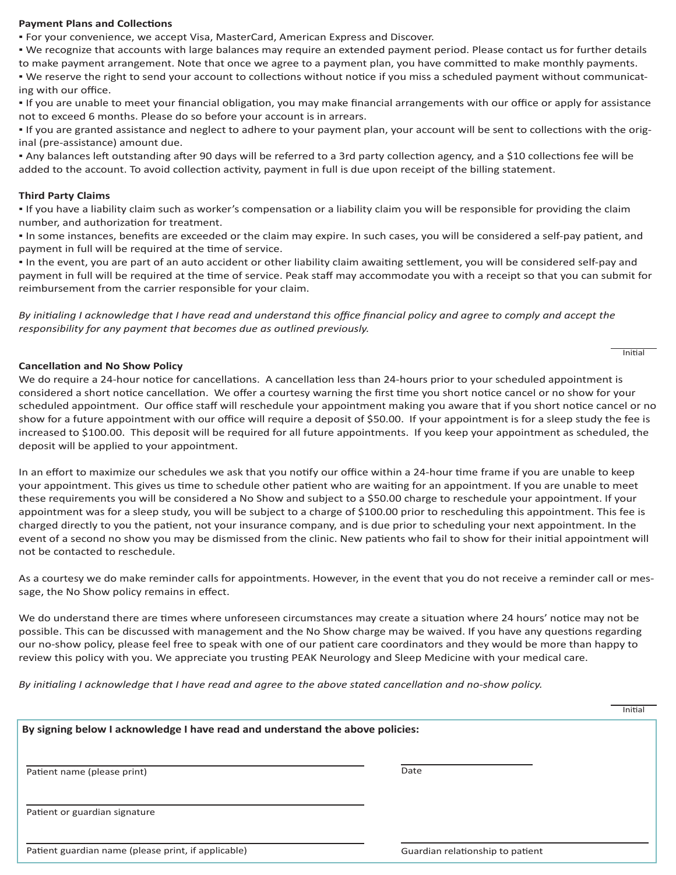#### **Payment Plans and Collections**

**▪** For your convenience, we accept Visa, MasterCard, American Express and Discover.

▪ We recognize that accounts with large balances may require an extended payment period. Please contact us for further details to make payment arrangement. Note that once we agree to a payment plan, you have committed to make monthly payments. ▪ We reserve the right to send your account to collections without notice if you miss a scheduled payment without communicating with our office.

▪ If you are unable to meet your financial obligation, you may make financial arrangements with our office or apply for assistance not to exceed 6 months. Please do so before your account is in arrears.

▪ If you are granted assistance and neglect to adhere to your payment plan, your account will be sent to collections with the original (pre-assistance) amount due.

▪ Any balances left outstanding after 90 days will be referred to a 3rd party collection agency, and a \$10 collections fee will be added to the account. To avoid collection activity, payment in full is due upon receipt of the billing statement.

#### **Third Party Claims**

▪ If you have a liability claim such as worker's compensation or a liability claim you will be responsible for providing the claim number, and authorization for treatment.

▪ In some instances, benefits are exceeded or the claim may expire. In such cases, you will be considered a self-pay patient, and payment in full will be required at the time of service.

▪ In the event, you are part of an auto accident or other liability claim awaiting settlement, you will be considered self-pay and payment in full will be required at the time of service. Peak staff may accommodate you with a receipt so that you can submit for reimbursement from the carrier responsible for your claim.

*By initialing I acknowledge that I have read and understand this office financial policy and agree to comply and accept the responsibility for any payment that becomes due as outlined previously.*

**Cancellation and No Show Policy**

We do require a 24-hour notice for cancellations. A cancellation less than 24-hours prior to your scheduled appointment is considered a short notice cancellation. We offer a courtesy warning the first time you short notice cancel or no show for your scheduled appointment. Our office staff will reschedule your appointment making you aware that if you short notice cancel or no show for a future appointment with our office will require a deposit of \$50.00. If your appointment is for a sleep study the fee is increased to \$100.00. This deposit will be required for all future appointments. If you keep your appointment as scheduled, the deposit will be applied to your appointment.

Initial

In an effort to maximize our schedules we ask that you notify our office within a 24-hour time frame if you are unable to keep your appointment. This gives us time to schedule other patient who are waiting for an appointment. If you are unable to meet these requirements you will be considered a No Show and subject to a \$50.00 charge to reschedule your appointment. If your appointment was for a sleep study, you will be subject to a charge of \$100.00 prior to rescheduling this appointment. This fee is charged directly to you the patient, not your insurance company, and is due prior to scheduling your next appointment. In the event of a second no show you may be dismissed from the clinic. New patients who fail to show for their initial appointment will not be contacted to reschedule.

As a courtesy we do make reminder calls for appointments. However, in the event that you do not receive a reminder call or message, the No Show policy remains in effect.

We do understand there are times where unforeseen circumstances may create a situation where 24 hours' notice may not be possible. This can be discussed with management and the No Show charge may be waived. If you have any questions regarding our no-show policy, please feel free to speak with one of our patient care coordinators and they would be more than happy to review this policy with you. We appreciate you trusting PEAK Neurology and Sleep Medicine with your medical care.

*By initialing I acknowledge that I have read and agree to the above stated cancellation and no-show policy.*

|                                                                               |                                  | Initial |
|-------------------------------------------------------------------------------|----------------------------------|---------|
| By signing below I acknowledge I have read and understand the above policies: |                                  |         |
|                                                                               |                                  |         |
| Patient name (please print)                                                   | Date                             |         |
|                                                                               |                                  |         |
| Patient or guardian signature                                                 |                                  |         |
|                                                                               |                                  |         |
| Patient guardian name (please print, if applicable)                           | Guardian relationship to patient |         |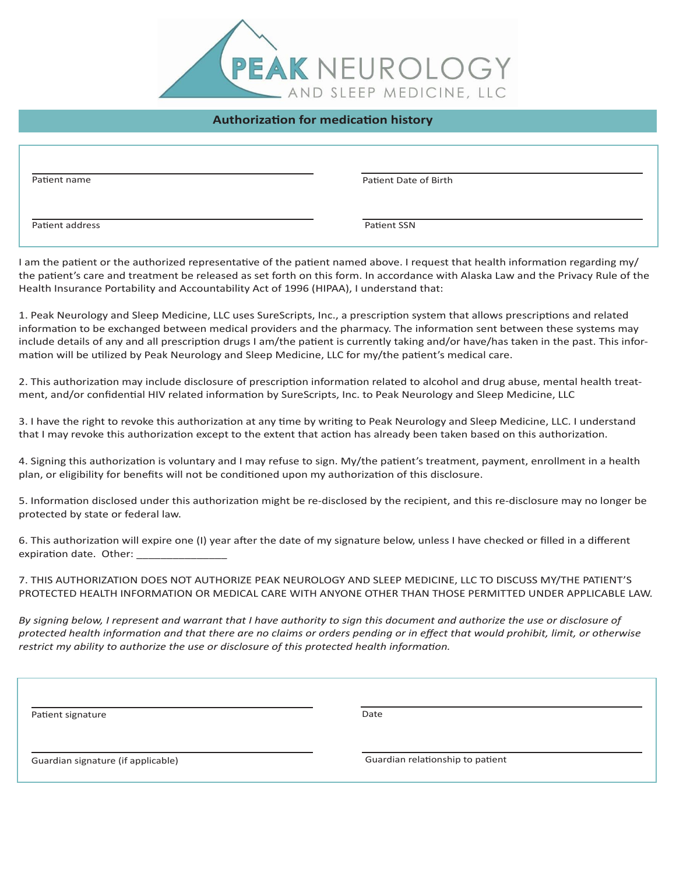

### **Authorization for medication history**

Patient name

Patient Date of Birth

Patient address

Patient SSN

I am the patient or the authorized representative of the patient named above. I request that health information regarding my/ the patient's care and treatment be released as set forth on this form. In accordance with Alaska Law and the Privacy Rule of the Health Insurance Portability and Accountability Act of 1996 (HIPAA), I understand that:

1. Peak Neurology and Sleep Medicine, LLC uses SureScripts, Inc., a prescription system that allows prescriptions and related information to be exchanged between medical providers and the pharmacy. The information sent between these systems may include details of any and all prescription drugs I am/the patient is currently taking and/or have/has taken in the past. This information will be utilized by Peak Neurology and Sleep Medicine, LLC for my/the patient's medical care.

2. This authorization may include disclosure of prescription information related to alcohol and drug abuse, mental health treatment, and/or confidential HIV related information by SureScripts, Inc. to Peak Neurology and Sleep Medicine, LLC

3. I have the right to revoke this authorization at any time by writing to Peak Neurology and Sleep Medicine, LLC. I understand that I may revoke this authorization except to the extent that action has already been taken based on this authorization.

4. Signing this authorization is voluntary and I may refuse to sign. My/the patient's treatment, payment, enrollment in a health plan, or eligibility for benefits will not be conditioned upon my authorization of this disclosure.

5. Information disclosed under this authorization might be re-disclosed by the recipient, and this re-disclosure may no longer be protected by state or federal law.

6. This authorization will expire one (I) year after the date of my signature below, unless I have checked or filled in a different expiration date. Other:

7. THIS AUTHORIZATION DOES NOT AUTHORIZE PEAK NEUROLOGY AND SLEEP MEDICINE, LLC TO DISCUSS MY/THE PATIENT'S PROTECTED HEALTH INFORMATION OR MEDICAL CARE WITH ANYONE OTHER THAN THOSE PERMITTED UNDER APPLICABLE LAW.

*By signing below, I represent and warrant that I have authority to sign this document and authorize the use or disclosure of protected health information and that there are no claims or orders pending or in effect that would prohibit, limit, or otherwise restrict my ability to authorize the use or disclosure of this protected health information.*

Patient signature

Date

Guardian signature (if applicable)

Guardian relationship to patient